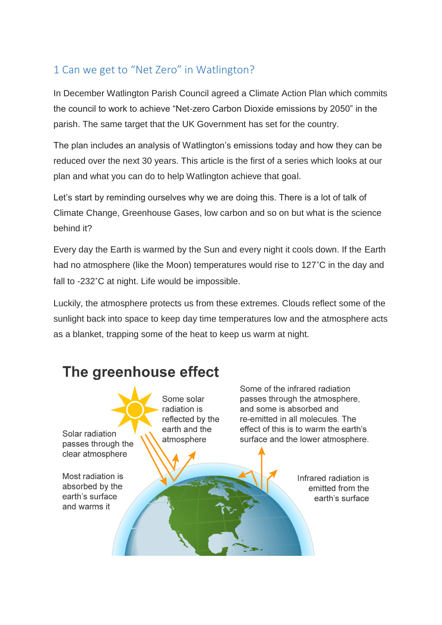## 1 Can we get to "Net Zero" in Watlington?

In December Watlington Parish Council agreed a Climate Action Plan which commits the council to work to achieve "Net-zero Carbon Dioxide emissions by 2050" in the parish. The same target that the UK Government has set for the country.

The plan includes an analysis of Watlington's emissions today and how they can be reduced over the next 30 years. This article is the first of a series which looks at our plan and what you can do to help Watlington achieve that goal.

Let's start by reminding ourselves why we are doing this. There is a lot of talk of Climate Change, Greenhouse Gases, low carbon and so on but what is the science behind it?

Every day the Earth is warmed by the Sun and every night it cools down. If the Earth had no atmosphere (like the Moon) temperatures would rise to 127˚C in the day and fall to -232°C at night. Life would be impossible.

Luckily, the atmosphere protects us from these extremes. Clouds reflect some of the sunlight back into space to keep day time temperatures low and the atmosphere acts as a blanket, trapping some of the heat to keep us warm at night.

## The greenhouse effect

Solar radiation passes through the clear atmosphere

Most radiation is absorbed by the earth's surface and warms it

Some solar radiation is reflected by the earth and the atmosphere

Some of the infrared radiation passes through the atmosphere, and some is absorbed and re-emitted in all molecules. The effect of this is to warm the earth's surface and the lower atmosphere.

> Infrared radiation is emitted from the earth's surface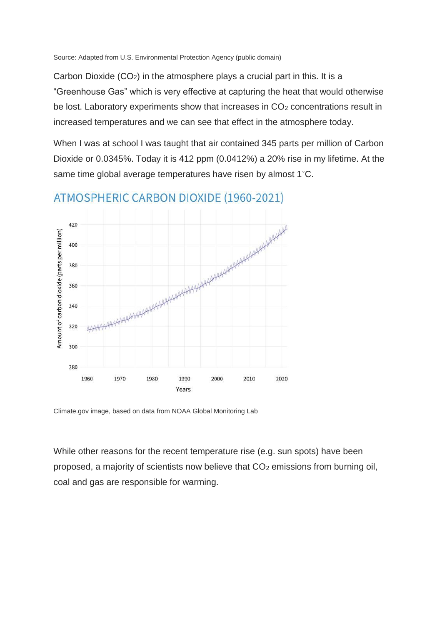Source: Adapted from U.S. Environmental Protection Agency (public domain)

Carbon Dioxide (CO2) in the atmosphere plays a crucial part in this. It is a "Greenhouse Gas" which is very effective at capturing the heat that would otherwise be lost. Laboratory experiments show that increases in CO<sub>2</sub> concentrations result in increased temperatures and we can see that effect in the atmosphere today.

When I was at school I was taught that air contained 345 parts per million of Carbon Dioxide or 0.0345%. Today it is 412 ppm (0.0412%) a 20% rise in my lifetime. At the same time global average temperatures have risen by almost 1˚C.



ATMOSPHERIC CARBON DIOXIDE (1960-2021)

Climate.gov image, based on data from NOAA Global Monitoring Lab

While other reasons for the recent temperature rise (e.g. sun spots) have been proposed, a majority of scientists now believe that  $CO<sub>2</sub>$  emissions from burning oil, coal and gas are responsible for warming.